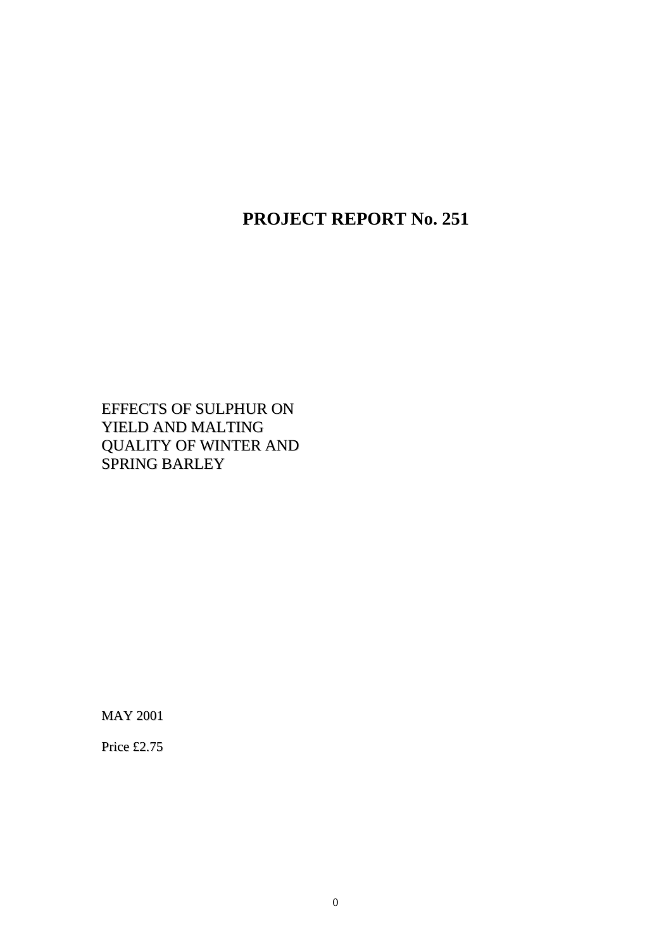**PROJECT REPORT No. 251**

EFFECTS OF SULPHUR ON YIELD AND MALTING QUALITY OF WINTER AND SPRING BARLEY

MAY 2001

Price £2.75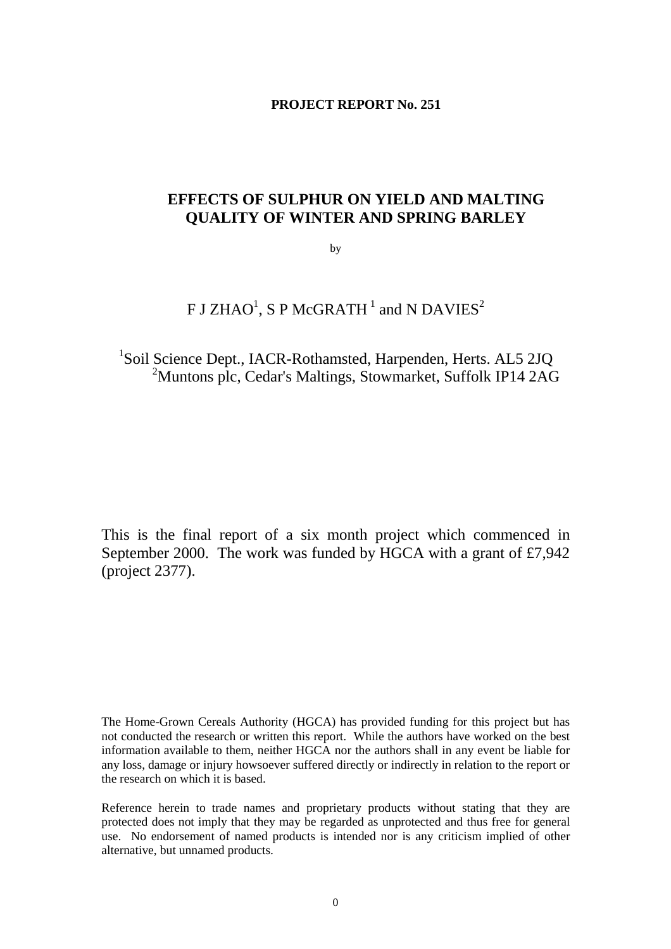#### **PROJECT REPORT No. 251**

### **EFFECTS OF SULPHUR ON YIELD AND MALTING QUALITY OF WINTER AND SPRING BARLEY**

by

# F J ZHAO $^{\rm l}$ , S P McGRATH  $^{\rm l}$  and N DAVIES  $^{\rm 2}$

## <sup>1</sup>Soil Science Dept., IACR-Rothamsted, Harpenden, Herts. AL5 2JQ 2 Muntons plc, Cedar's Maltings, Stowmarket, Suffolk IP14 2AG

This is the final report of a six month project which commenced in September 2000. The work was funded by HGCA with a grant of £7,942 (project 2377).

The Home-Grown Cereals Authority (HGCA) has provided funding for this project but has not conducted the research or written this report. While the authors have worked on the best information available to them, neither HGCA nor the authors shall in any event be liable for any loss, damage or injury howsoever suffered directly or indirectly in relation to the report or the research on which it is based.

Reference herein to trade names and proprietary products without stating that they are protected does not imply that they may be regarded as unprotected and thus free for general use. No endorsement of named products is intended nor is any criticism implied of other alternative, but unnamed products.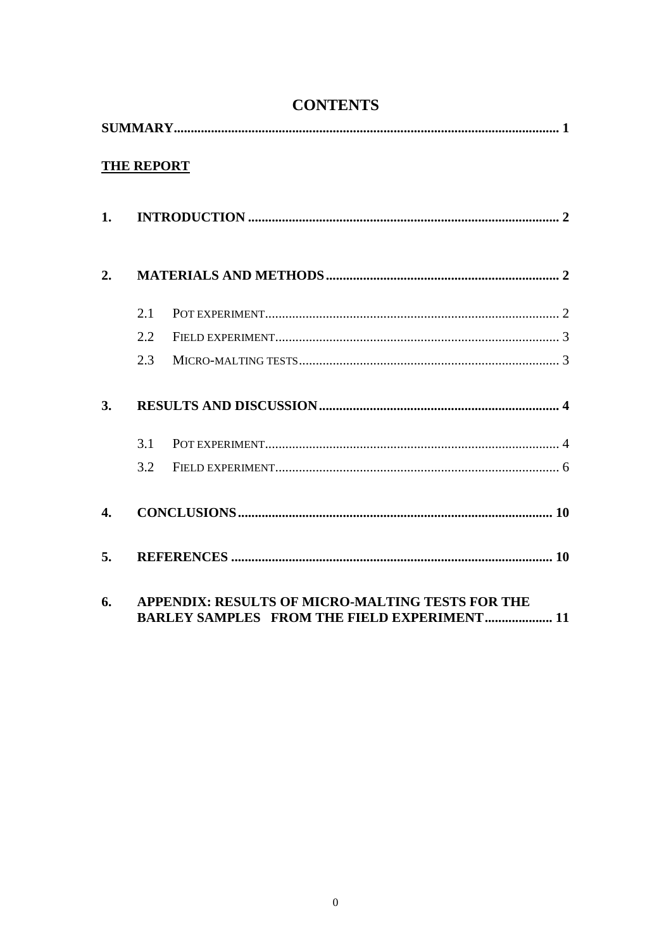|                  | <b>THE REPORT</b> |                                                         |
|------------------|-------------------|---------------------------------------------------------|
| 1.               |                   |                                                         |
| 2.               |                   |                                                         |
|                  | 2.1               |                                                         |
|                  | 2.2               |                                                         |
|                  | 2.3               |                                                         |
| 3.               |                   |                                                         |
|                  | 3.1               |                                                         |
|                  | 3.2               |                                                         |
| $\overline{4}$ . |                   |                                                         |
| 5.               |                   |                                                         |
| 6.               |                   | <b>APPENDIX: RESULTS OF MICRO-MALTING TESTS FOR THE</b> |

**CONTENTS** 

# **BARLEY SAMPLES FROM THE FIELD EXPERIMENT.................... 11**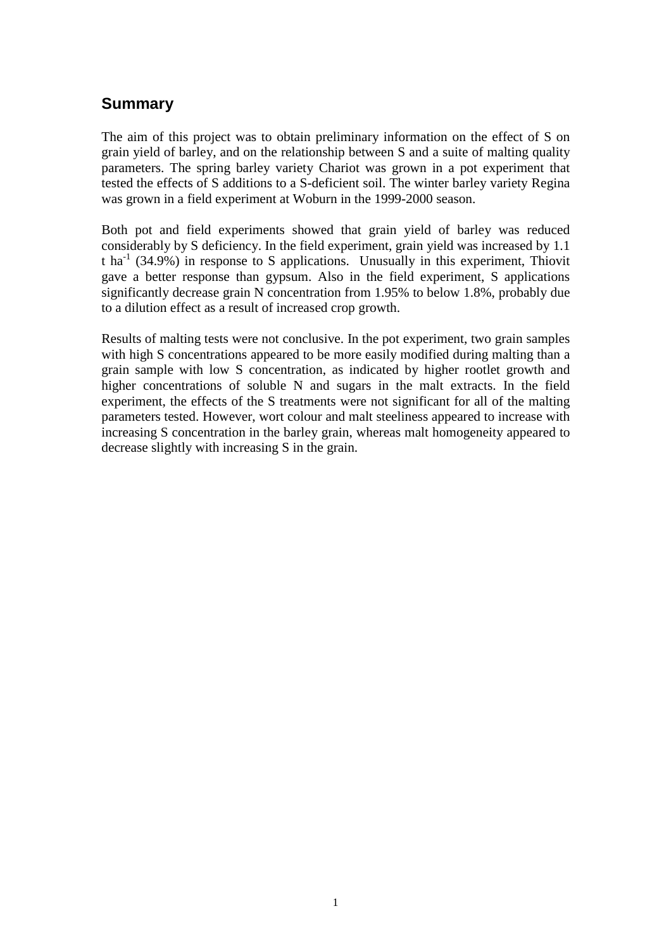# **Summary**

The aim of this project was to obtain preliminary information on the effect of S on grain yield of barley, and on the relationship between S and a suite of malting quality parameters. The spring barley variety Chariot was grown in a pot experiment that tested the effects of S additions to a S-deficient soil. The winter barley variety Regina was grown in a field experiment at Woburn in the 1999-2000 season.

Both pot and field experiments showed that grain yield of barley was reduced considerably by S deficiency. In the field experiment, grain yield was increased by 1.1 t ha<sup>-1</sup> (34.9%) in response to S applications. Unusually in this experiment, Thiovit gave a better response than gypsum. Also in the field experiment, S applications significantly decrease grain N concentration from 1.95% to below 1.8%, probably due to a dilution effect as a result of increased crop growth.

Results of malting tests were not conclusive. In the pot experiment, two grain samples with high S concentrations appeared to be more easily modified during malting than a grain sample with low S concentration, as indicated by higher rootlet growth and higher concentrations of soluble N and sugars in the malt extracts. In the field experiment, the effects of the S treatments were not significant for all of the malting parameters tested. However, wort colour and malt steeliness appeared to increase with increasing S concentration in the barley grain, whereas malt homogeneity appeared to decrease slightly with increasing S in the grain.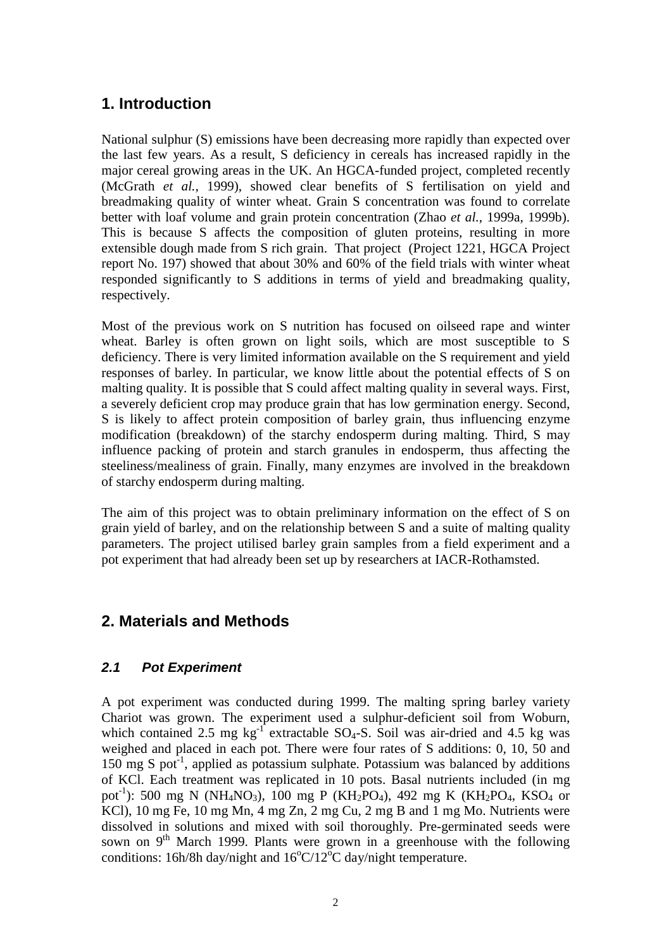### **1. Introduction**

National sulphur (S) emissions have been decreasing more rapidly than expected over the last few years. As a result, S deficiency in cereals has increased rapidly in the major cereal growing areas in the UK. An HGCA-funded project, completed recently (McGrath *et al.*, 1999), showed clear benefits of S fertilisation on yield and breadmaking quality of winter wheat. Grain S concentration was found to correlate better with loaf volume and grain protein concentration (Zhao *et al.*, 1999a, 1999b). This is because S affects the composition of gluten proteins, resulting in more extensible dough made from S rich grain. That project (Project 1221, HGCA Project report No. 197) showed that about 30% and 60% of the field trials with winter wheat responded significantly to S additions in terms of yield and breadmaking quality, respectively.

Most of the previous work on S nutrition has focused on oilseed rape and winter wheat. Barley is often grown on light soils, which are most susceptible to S deficiency. There is very limited information available on the S requirement and yield responses of barley. In particular, we know little about the potential effects of S on malting quality. It is possible that S could affect malting quality in several ways. First, a severely deficient crop may produce grain that has low germination energy. Second, S is likely to affect protein composition of barley grain, thus influencing enzyme modification (breakdown) of the starchy endosperm during malting. Third, S may influence packing of protein and starch granules in endosperm, thus affecting the steeliness/mealiness of grain. Finally, many enzymes are involved in the breakdown of starchy endosperm during malting.

The aim of this project was to obtain preliminary information on the effect of S on grain yield of barley, and on the relationship between S and a suite of malting quality parameters. The project utilised barley grain samples from a field experiment and a pot experiment that had already been set up by researchers at IACR-Rothamsted.

### **2. Materials and Methods**

#### *2.1 Pot Experiment*

A pot experiment was conducted during 1999. The malting spring barley variety Chariot was grown. The experiment used a sulphur-deficient soil from Woburn, which contained 2.5 mg  $kg^{-1}$  extractable SO<sub>4</sub>-S. Soil was air-dried and 4.5 kg was weighed and placed in each pot. There were four rates of S additions: 0, 10, 50 and 150 mg S pot $^{-1}$ , applied as potassium sulphate. Potassium was balanced by additions of KCl. Each treatment was replicated in 10 pots. Basal nutrients included (in mg pot<sup>-1</sup>): 500 mg N (NH<sub>4</sub>NO<sub>3</sub>), 100 mg P (KH<sub>2</sub>PO<sub>4</sub>), 492 mg K (KH<sub>2</sub>PO<sub>4</sub>, KSO<sub>4</sub> or KCl), 10 mg Fe, 10 mg Mn, 4 mg Zn, 2 mg Cu, 2 mg B and 1 mg Mo. Nutrients were dissolved in solutions and mixed with soil thoroughly. Pre-germinated seeds were sown on  $9<sup>th</sup>$  March 1999. Plants were grown in a greenhouse with the following conditions: 16h/8h day/night and  $16^{\circ}$ C/12 $^{\circ}$ C day/night temperature.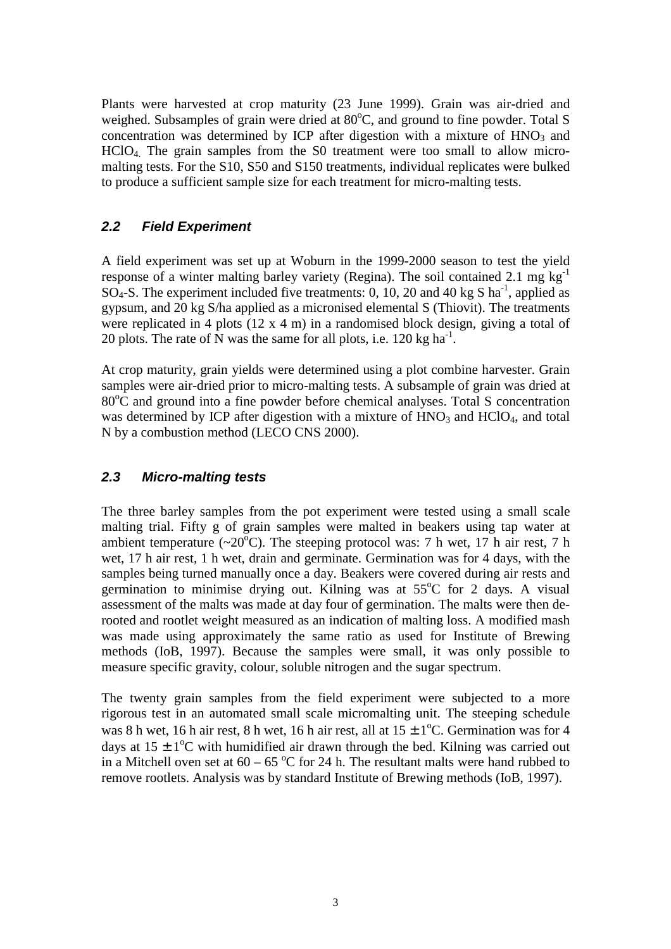Plants were harvested at crop maturity (23 June 1999). Grain was air-dried and weighed. Subsamples of grain were dried at  $80^{\circ}$ C, and ground to fine powder. Total S concentration was determined by ICP after digestion with a mixture of  $HNO<sub>3</sub>$  and HClO4. The grain samples from the S0 treatment were too small to allow micromalting tests. For the S10, S50 and S150 treatments, individual replicates were bulked to produce a sufficient sample size for each treatment for micro-malting tests.

### *2.2 Field Experiment*

A field experiment was set up at Woburn in the 1999-2000 season to test the yield response of a winter malting barley variety (Regina). The soil contained 2.1 mg  $kg^{-1}$  $SO_4$ -S. The experiment included five treatments: 0, 10, 20 and 40 kg S ha<sup>-1</sup>, applied as gypsum, and 20 kg S/ha applied as a micronised elemental S (Thiovit). The treatments were replicated in 4 plots (12 x 4 m) in a randomised block design, giving a total of 20 plots. The rate of N was the same for all plots, i.e.  $120 \text{ kg ha}^{-1}$ .

At crop maturity, grain yields were determined using a plot combine harvester. Grain samples were air-dried prior to micro-malting tests. A subsample of grain was dried at  $80^{\circ}$ C and ground into a fine powder before chemical analyses. Total S concentration was determined by ICP after digestion with a mixture of  $HNO<sub>3</sub>$  and  $HClO<sub>4</sub>$ , and total N by a combustion method (LECO CNS 2000).

### *2.3 Micro-malting tests*

The three barley samples from the pot experiment were tested using a small scale malting trial. Fifty g of grain samples were malted in beakers using tap water at ambient temperature  $(-20^{\circ}C)$ . The steeping protocol was: 7 h wet, 17 h air rest, 7 h wet, 17 h air rest, 1 h wet, drain and germinate. Germination was for 4 days, with the samples being turned manually once a day. Beakers were covered during air rests and germination to minimise drying out. Kilning was at 55°C for 2 days. A visual assessment of the malts was made at day four of germination. The malts were then derooted and rootlet weight measured as an indication of malting loss. A modified mash was made using approximately the same ratio as used for Institute of Brewing methods (IoB, 1997). Because the samples were small, it was only possible to measure specific gravity, colour, soluble nitrogen and the sugar spectrum.

The twenty grain samples from the field experiment were subjected to a more rigorous test in an automated small scale micromalting unit. The steeping schedule was 8 h wet, 16 h air rest, 8 h wet, 16 h air rest, all at  $15 \pm 1$  °C. Germination was for 4 days at  $15 \pm 1$ <sup>o</sup>C with humidified air drawn through the bed. Kilning was carried out in a Mitchell oven set at  $60 - 65$  °C for 24 h. The resultant malts were hand rubbed to remove rootlets. Analysis was by standard Institute of Brewing methods (IoB, 1997).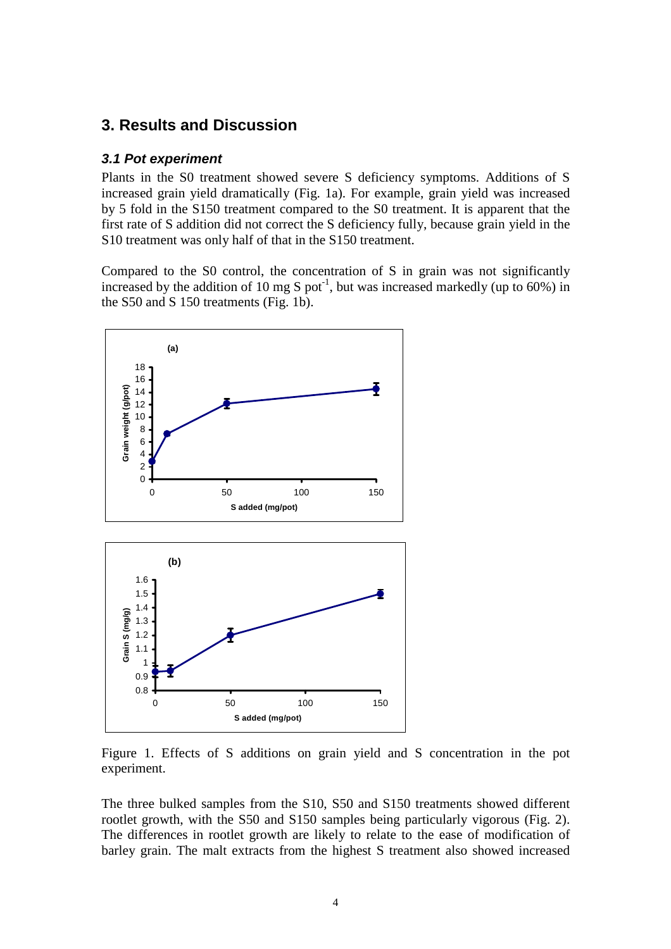### **3. Results and Discussion**

#### *3.1 Pot experiment*

Plants in the S0 treatment showed severe S deficiency symptoms. Additions of S increased grain yield dramatically (Fig. 1a). For example, grain yield was increased by 5 fold in the S150 treatment compared to the S0 treatment. It is apparent that the first rate of S addition did not correct the S deficiency fully, because grain yield in the S10 treatment was only half of that in the S150 treatment.

Compared to the S0 control, the concentration of S in grain was not significantly increased by the addition of  $10 \text{ mg S pot}^{-1}$ , but was increased markedly (up to  $60\%$ ) in the S50 and S 150 treatments (Fig. 1b).



Figure 1. Effects of S additions on grain yield and S concentration in the pot experiment.

The three bulked samples from the S10, S50 and S150 treatments showed different rootlet growth, with the S50 and S150 samples being particularly vigorous (Fig. 2). The differences in rootlet growth are likely to relate to the ease of modification of barley grain. The malt extracts from the highest S treatment also showed increased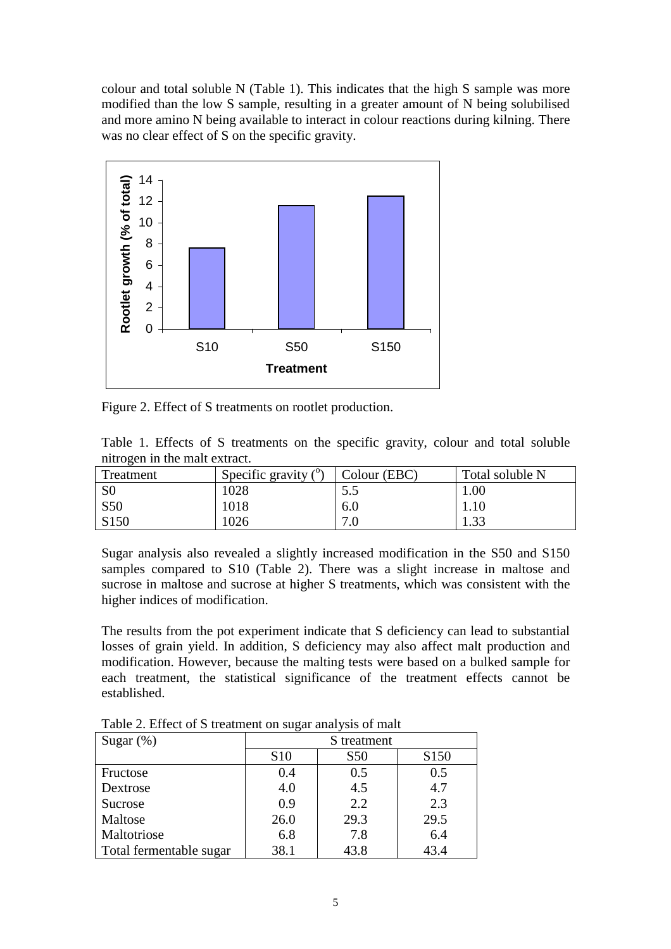colour and total soluble N (Table 1). This indicates that the high S sample was more modified than the low S sample, resulting in a greater amount of N being solubilised and more amino N being available to interact in colour reactions during kilning. There was no clear effect of S on the specific gravity.



Figure 2. Effect of S treatments on rootlet production.

|                               |  | Table 1. Effects of S treatments on the specific gravity, colour and total soluble |  |  |  |  |
|-------------------------------|--|------------------------------------------------------------------------------------|--|--|--|--|
| nitrogen in the malt extract. |  |                                                                                    |  |  |  |  |

| Treatment        | Specific gravity $(°)$ | Colour (EBC) | Total soluble N |
|------------------|------------------------|--------------|-----------------|
| S <sub>0</sub>   | 1028                   | .J.J         | 1.00            |
| <b>S50</b>       | 1018                   | 6.0          | 1.10            |
| S <sub>150</sub> | 1026                   | 7.0          | ົາ<br>1.JJ      |

Sugar analysis also revealed a slightly increased modification in the S50 and S150 samples compared to S10 (Table 2). There was a slight increase in maltose and sucrose in maltose and sucrose at higher S treatments, which was consistent with the higher indices of modification.

The results from the pot experiment indicate that S deficiency can lead to substantial losses of grain yield. In addition, S deficiency may also affect malt production and modification. However, because the malting tests were based on a bulked sample for each treatment, the statistical significance of the treatment effects cannot be established.

| $\frac{1}{2}$ and $\frac{1}{2}$ and $\frac{1}{2}$ are $\frac{1}{2}$ and $\frac{1}{2}$ and $\frac{1}{2}$ and $\frac{1}{2}$ and $\frac{1}{2}$ and $\frac{1}{2}$ and $\frac{1}{2}$ and $\frac{1}{2}$ and $\frac{1}{2}$ and $\frac{1}{2}$ and $\frac{1}{2}$ and $\frac{1}{2}$ and $\frac{1}{2}$ a |                 |                 |                  |  |  |  |  |  |  |
|-----------------------------------------------------------------------------------------------------------------------------------------------------------------------------------------------------------------------------------------------------------------------------------------------|-----------------|-----------------|------------------|--|--|--|--|--|--|
| Sugar $(\%)$                                                                                                                                                                                                                                                                                  | S treatment     |                 |                  |  |  |  |  |  |  |
|                                                                                                                                                                                                                                                                                               | S <sub>10</sub> | S <sub>50</sub> | S <sub>150</sub> |  |  |  |  |  |  |
| Fructose                                                                                                                                                                                                                                                                                      | 0.4             | 0.5             | 0.5              |  |  |  |  |  |  |
| Dextrose                                                                                                                                                                                                                                                                                      | 4.0             | 4.5             | 4.7              |  |  |  |  |  |  |
| Sucrose                                                                                                                                                                                                                                                                                       | 0.9             | 2.2             | 2.3              |  |  |  |  |  |  |
| Maltose                                                                                                                                                                                                                                                                                       | 26.0            | 29.3            | 29.5             |  |  |  |  |  |  |
| Maltotriose                                                                                                                                                                                                                                                                                   | 6.8             | 7.8             | 6.4              |  |  |  |  |  |  |
| Total fermentable sugar                                                                                                                                                                                                                                                                       | 38.1            | 43.8            | 43.4             |  |  |  |  |  |  |

Table 2. Effect of S treatment on sugar analysis of malt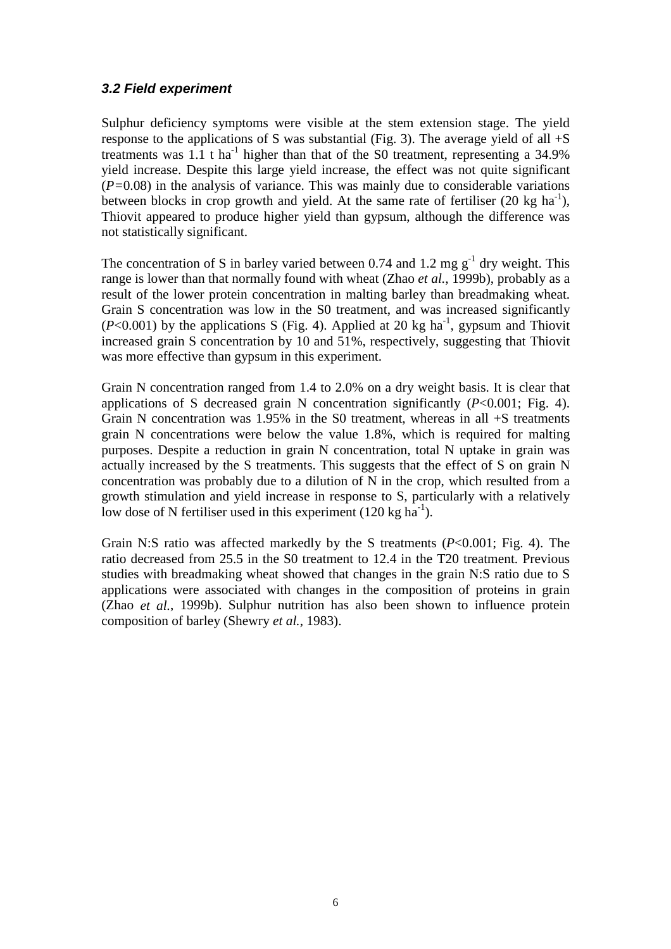#### *3.2 Field experiment*

Sulphur deficiency symptoms were visible at the stem extension stage. The yield response to the applications of S was substantial (Fig. 3). The average yield of all  $+S$ treatments was  $1.1$  t ha<sup>-1</sup> higher than that of the S0 treatment, representing a  $34.9\%$ yield increase. Despite this large yield increase, the effect was not quite significant (*P=*0.08) in the analysis of variance. This was mainly due to considerable variations between blocks in crop growth and yield. At the same rate of fertiliser  $(20 \text{ kg ha}^{-1})$ , Thiovit appeared to produce higher yield than gypsum, although the difference was not statistically significant.

The concentration of S in barley varied between 0.74 and 1.2 mg  $g^{-1}$  dry weight. This range is lower than that normally found with wheat (Zhao *et al.*, 1999b), probably as a result of the lower protein concentration in malting barley than breadmaking wheat. Grain S concentration was low in the S0 treatment, and was increased significantly  $(P<0.001)$  by the applications S (Fig. 4). Applied at 20 kg ha<sup>-1</sup>, gypsum and Thiovit increased grain S concentration by 10 and 51%, respectively, suggesting that Thiovit was more effective than gypsum in this experiment.

Grain N concentration ranged from 1.4 to 2.0% on a dry weight basis. It is clear that applications of S decreased grain N concentration significantly (*P*<0.001; Fig. 4). Grain N concentration was 1.95% in the S0 treatment, whereas in all +S treatments grain N concentrations were below the value 1.8%, which is required for malting purposes. Despite a reduction in grain N concentration, total N uptake in grain was actually increased by the S treatments. This suggests that the effect of S on grain N concentration was probably due to a dilution of N in the crop, which resulted from a growth stimulation and yield increase in response to S, particularly with a relatively low dose of N fertiliser used in this experiment  $(120 \text{ kg ha}^{-1})$ .

Grain N:S ratio was affected markedly by the S treatments (*P*<0.001; Fig. 4). The ratio decreased from 25.5 in the S0 treatment to 12.4 in the T20 treatment. Previous studies with breadmaking wheat showed that changes in the grain N:S ratio due to S applications were associated with changes in the composition of proteins in grain (Zhao *et al.*, 1999b). Sulphur nutrition has also been shown to influence protein composition of barley (Shewry *et al.*, 1983).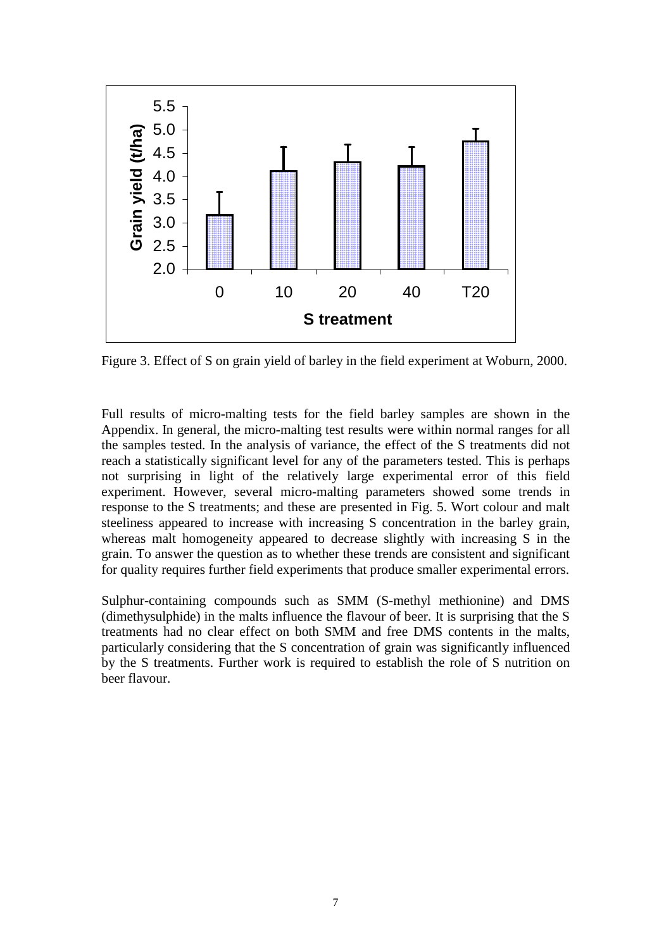

Figure 3. Effect of S on grain yield of barley in the field experiment at Woburn, 2000.

Full results of micro-malting tests for the field barley samples are shown in the Appendix. In general, the micro-malting test results were within normal ranges for all the samples tested. In the analysis of variance, the effect of the S treatments did not reach a statistically significant level for any of the parameters tested. This is perhaps not surprising in light of the relatively large experimental error of this field experiment. However, several micro-malting parameters showed some trends in response to the S treatments; and these are presented in Fig. 5. Wort colour and malt steeliness appeared to increase with increasing S concentration in the barley grain, whereas malt homogeneity appeared to decrease slightly with increasing S in the grain. To answer the question as to whether these trends are consistent and significant for quality requires further field experiments that produce smaller experimental errors.

Sulphur-containing compounds such as SMM (S-methyl methionine) and DMS (dimethysulphide) in the malts influence the flavour of beer. It is surprising that the S treatments had no clear effect on both SMM and free DMS contents in the malts, particularly considering that the S concentration of grain was significantly influenced by the S treatments. Further work is required to establish the role of S nutrition on beer flavour.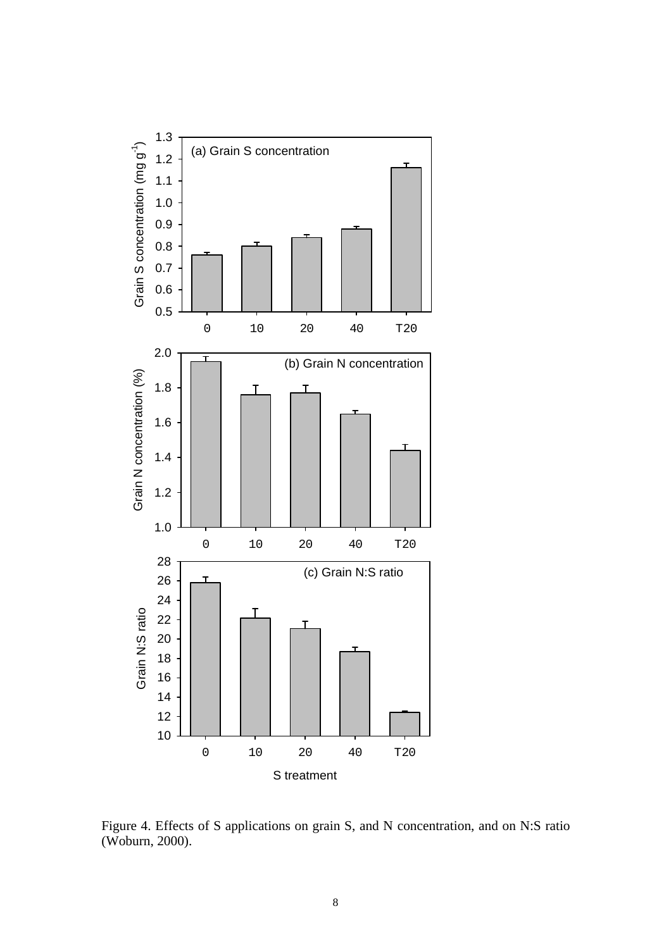

Figure 4. Effects of S applications on grain S, and N concentration, and on N:S ratio (Woburn, 2000).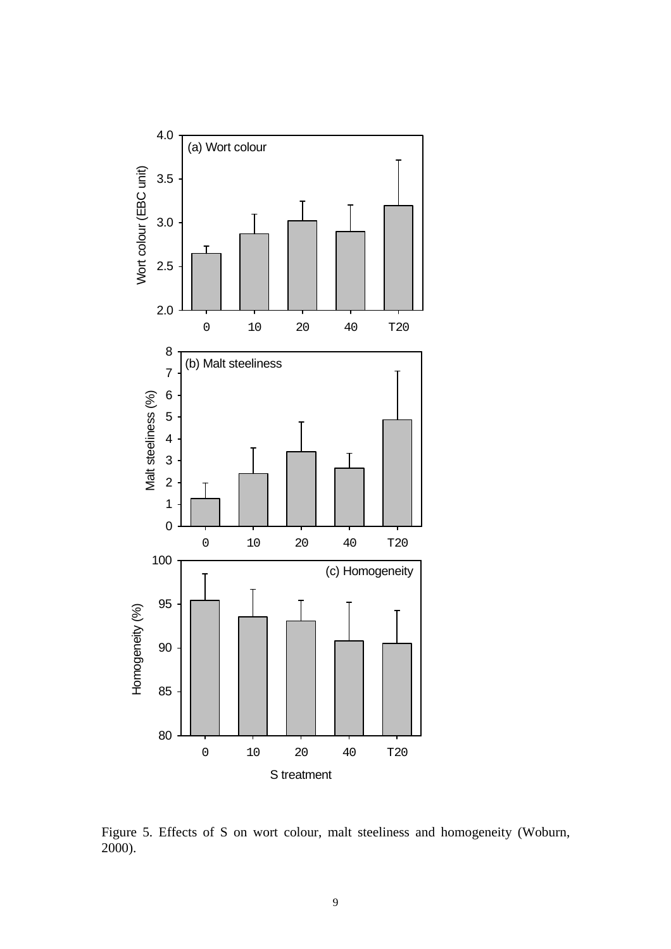

Figure 5. Effects of S on wort colour, malt steeliness and homogeneity (Woburn, 2000).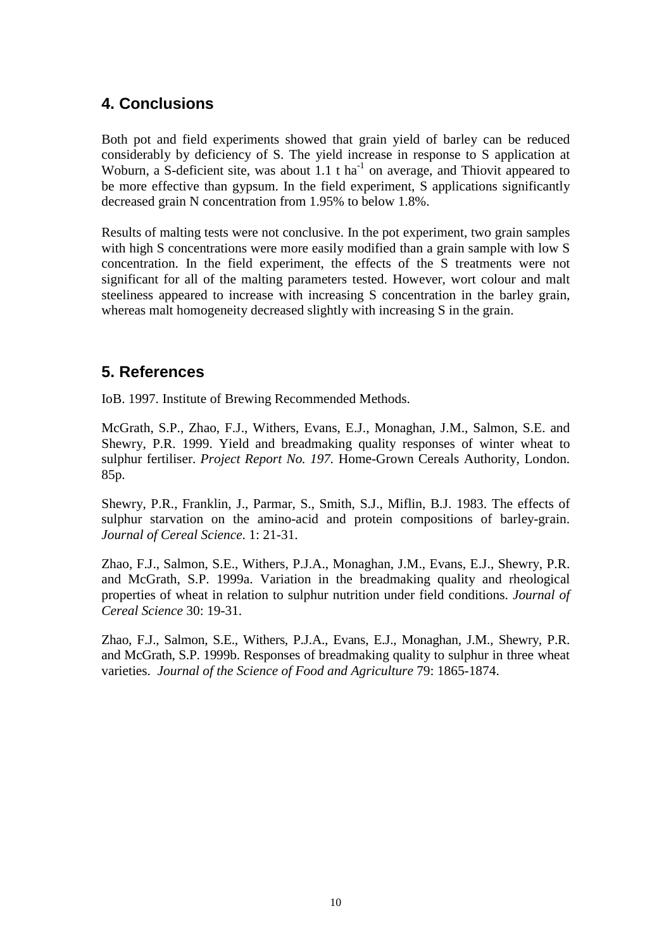# <span id="page-12-0"></span>**4. Conclusions**

Both pot and field experiments showed that grain yield of barley can be reduced considerably by deficiency of S. The yield increase in response to S application at Woburn, a S-deficient site, was about  $1.1$  t ha<sup>-1</sup> on average, and Thiovit appeared to be more effective than gypsum. In the field experiment, S applications significantly decreased grain N concentration from 1.95% to below 1.8%.

Results of malting tests were not conclusive. In the pot experiment, two grain samples with high S concentrations were more easily modified than a grain sample with low S concentration. In the field experiment, the effects of the S treatments were not significant for all of the malting parameters tested. However, wort colour and malt steeliness appeared to increase with increasing S concentration in the barley grain, whereas malt homogeneity decreased slightly with increasing S in the grain.

### **5. References**

IoB. 1997. Institute of Brewing Recommended Methods.

McGrath, S.P., Zhao, F.J., Withers, Evans, E.J., Monaghan, J.M., Salmon, S.E. and Shewry, P.R. 1999. Yield and breadmaking quality responses of winter wheat to sulphur fertiliser. *Project Report No. 197.* Home-Grown Cereals Authority, London. 85p.

Shewry, P.R., Franklin, J., Parmar, S., Smith, S.J., Miflin, B.J. 1983. The effects of sulphur starvation on the amino-acid and protein compositions of barley-grain. *Journal of Cereal Science*. 1: 21-31.

Zhao, F.J., Salmon, S.E., Withers, P.J.A., Monaghan, J.M., Evans, E.J., Shewry, P.R. and McGrath, S.P. 1999a. Variation in the breadmaking quality and rheological properties of wheat in relation to sulphur nutrition under field conditions. *Journal of Cereal Science* 30: 19-31.

Zhao, F.J., Salmon, S.E., Withers, P.J.A., Evans, E.J., Monaghan, J.M., Shewry, P.R. and McGrath, S.P. 1999b. Responses of breadmaking quality to sulphur in three wheat varieties. *Journal of the Science of Food and Agriculture* 79: 1865-1874.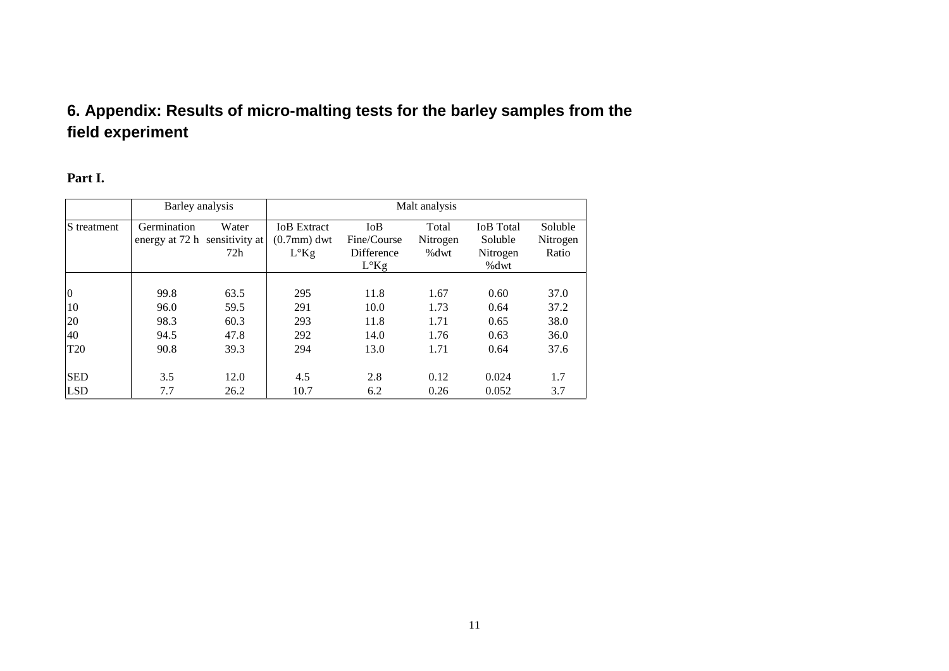# <span id="page-13-0"></span>**6. Appendix: Results of micro-malting tests for the barley samples from the field experiment**

#### **Part I.**

|                 | Barley analysis                                              |      | Malt analysis                                             |                                                                 |                           |                                                    |                              |  |  |
|-----------------|--------------------------------------------------------------|------|-----------------------------------------------------------|-----------------------------------------------------------------|---------------------------|----------------------------------------------------|------------------------------|--|--|
| S treatment     | Germination<br>Water<br>energy at 72 h sensitivity at<br>72h |      | <b>IoB</b> Extract<br>$(0.7$ mm $)$ dwt<br>$L^{\circ}$ Kg | I <sub>0</sub> B<br>Fine/Course<br>Difference<br>$L^{\circ}$ Kg | Total<br>Nitrogen<br>%dwt | <b>IoB</b> Total<br>Soluble<br>Nitrogen<br>% $dwt$ | Soluble<br>Nitrogen<br>Ratio |  |  |
| $\vert 0 \vert$ | 99.8                                                         | 63.5 | 295                                                       | 11.8                                                            | 1.67                      | 0.60                                               | 37.0                         |  |  |
| 10              | 96.0                                                         | 59.5 | 291                                                       | 10.0                                                            | 1.73                      | 0.64                                               | 37.2                         |  |  |
| 20              | 98.3                                                         | 60.3 | 293                                                       | 11.8                                                            | 1.71                      | 0.65                                               | 38.0                         |  |  |
| 40              | 94.5                                                         | 47.8 | 292                                                       | 14.0                                                            | 1.76                      | 0.63                                               | 36.0                         |  |  |
| T <sub>20</sub> | 90.8                                                         | 39.3 | 294                                                       | 13.0                                                            | 1.71                      | 0.64                                               | 37.6                         |  |  |
| <b>SED</b>      | 3.5                                                          | 12.0 | 4.5                                                       | 2.8                                                             | 0.12                      | 0.024                                              | 1.7                          |  |  |
| <b>LSD</b>      | 7.7                                                          | 26.2 | 10.7                                                      | 6.2                                                             | 0.26                      | 0.052                                              | 3.7                          |  |  |